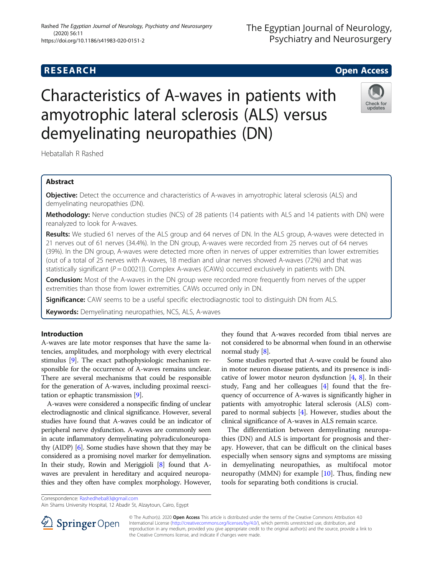# Hebatallah R Rashed

## Abstract

**Objective:** Detect the occurrence and characteristics of A-waves in amyotrophic lateral sclerosis (ALS) and demyelinating neuropathies (DN).

Characteristics of A-waves in patients with

amyotrophic lateral sclerosis (ALS) versus

demyelinating neuropathies (DN)

Methodology: Nerve conduction studies (NCS) of 28 patients (14 patients with ALS and 14 patients with DN) were reanalyzed to look for A-waves.

Results: We studied 61 nerves of the ALS group and 64 nerves of DN. In the ALS group, A-waves were detected in 21 nerves out of 61 nerves (34.4%). In the DN group, A-waves were recorded from 25 nerves out of 64 nerves (39%). In the DN group, A-waves were detected more often in nerves of upper extremities than lower extremities (out of a total of 25 nerves with A-waves, 18 median and ulnar nerves showed A-waves (72%) and that was statistically significant ( $P = 0.0021$ )). Complex A-waves (CAWs) occurred exclusively in patients with DN.

**Conclusion:** Most of the A-waves in the DN group were recorded more frequently from nerves of the upper extremities than those from lower extremities. CAWs occurred only in DN.

Significance: CAW seems to be a useful specific electrodiagnostic tool to distinguish DN from ALS.

Keywords: Demyelinating neuropathies, NCS, ALS, A-waves

### Introduction

A-waves are late motor responses that have the same latencies, amplitudes, and morphology with every electrical stimulus [\[9\]](#page-4-0). The exact pathophysiologic mechanism responsible for the occurrence of A-waves remains unclear. There are several mechanisms that could be responsible for the generation of A-waves, including proximal reexcitation or ephaptic transmission [\[9\]](#page-4-0).

A-waves were considered a nonspecific finding of unclear electrodiagnostic and clinical significance. However, several studies have found that A-waves could be an indicator of peripheral nerve dysfunction. A-waves are commonly seen in acute inflammatory demyelinating polyradiculoneuropathy (AIDP) [\[6](#page-4-0)]. Some studies have shown that they may be considered as a promising novel marker for demyelination. In their study, Rowin and Meriggioli [\[8\]](#page-4-0) found that Awaves are prevalent in hereditary and acquired neuropathies and they often have complex morphology. However,

they found that A-waves recorded from tibial nerves are not considered to be abnormal when found in an otherwise normal study [\[8\]](#page-4-0).

Some studies reported that A-wave could be found also in motor neuron disease patients, and its presence is indicative of lower motor neuron dysfunction  $[4, 8]$  $[4, 8]$  $[4, 8]$ . In their study, Fang and her colleagues  $[4]$  $[4]$  found that the frequency of occurrence of A-waves is significantly higher in patients with amyotrophic lateral sclerosis (ALS) compared to normal subjects [\[4](#page-4-0)]. However, studies about the clinical significance of A-waves in ALS remain scarce.

The differentiation between demyelinating neuropathies (DN) and ALS is important for prognosis and therapy. However, that can be difficult on the clinical bases especially when sensory signs and symptoms are missing in demyelinating neuropathies, as multifocal motor neuropathy (MMN) for example [\[10\]](#page-4-0). Thus, finding new tools for separating both conditions is crucial.

Correspondence: [Rashedheba83@gmail.com](mailto:Rashedheba83@gmail.com)



© The Author(s). 2020 Open Access This article is distributed under the terms of the Creative Commons Attribution 4.0 International License ([http://creativecommons.org/licenses/by/4.0/\)](http://creativecommons.org/licenses/by/4.0/), which permits unrestricted use, distribution, and reproduction in any medium, provided you give appropriate credit to the original author(s) and the source, provide a link to the Creative Commons license, and indicate if changes were made.





Ain Shams University Hospital, 12 Abadir St, Alzaytoun, Cairo, Egypt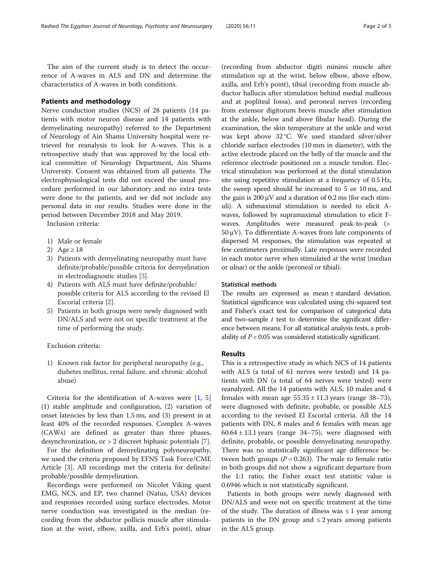The aim of the current study is to detect the occurrence of A-waves in ALS and DN and determine the characteristics of A-waves in both conditions.

### Patients and methodology

Nerve conduction studies (NCS) of 28 patients (14 patients with motor neuron disease and 14 patients with demyelinating neuropathy) referred to the Department of Neurology of Ain Shams University hospital were retrieved for reanalysis to look for A-waves. This is a retrospective study that was approved by the local ethical committee of Neurology Department, Ain Shams University. Consent was obtained from all patients. The electrophysiological tests did not exceed the usual procedure performed in our laboratory and no extra tests were done to the patients, and we did not include any personal data in our results. Studies were done in the period between December 2018 and May 2019.

Inclusion criteria:

- 1) Male or female
- 2) Age  $\geq 18$
- 3) Patients with demyelinating neuropathy must have definite/probable/possible criteria for demyelination in electrodiagnostic studies [\[3](#page-4-0)].
- 4) Patients with ALS must have definite/probable/ possible criteria for ALS according to the revised El Escorial criteria [\[2\]](#page-4-0).
- 5) Patients in both groups were newly diagnosed with DN/ALS and were not on specific treatment at the time of performing the study.

Exclusion criteria:

1) Known risk factor for peripheral neuropathy (e.g., diabetes mellitus, renal failure, and chronic alcohol abuse)

Criteria for the identification of A-waves were  $[1, 5]$  $[1, 5]$  $[1, 5]$  $[1, 5]$  $[1, 5]$ (1) stable amplitude and configuration, (2) variation of onset latencies by less than 1.5 ms, and (3) present in at least 40% of the recorded responses. Complex A-waves (CAWs) are defined as greater than three phases, desynchronization, or > 2 discreet biphasic potentials [[7\]](#page-4-0).

For the definition of demyelinating polyneuropathy, we used the criteria proposed by EFNS Task Force/CME Article [[3\]](#page-4-0). All recordings met the criteria for definite/ probable/possible demyelination.

Recordings were performed on Nicolet Viking quest EMG, NCS, and EP, two channel (Natus, USA) devices and responses recorded using surface electrodes. Motor nerve conduction was investigated in the median (recording from the abductor pollicis muscle after stimulation at the wrist, elbow, axilla, and Erb's point), ulnar

(recording from abductor digiti minimi muscle after stimulation up at the wrist, below elbow, above elbow, axilla, and Erb's point), tibial (recording from muscle abductor hallucis after stimulation behind medial malleous and at popliteal fossa), and peroneal nerves (recording from extensor digitorum brevis muscle after stimulation at the ankle, below and above fibular head). During the examination, the skin temperature at the ankle and wrist was kept above 32 °C. We used standard silver/silver chloride surface electrodes (10 mm in diameter), with the active electrode placed on the belly of the muscle and the reference electrode positioned on a muscle tendon. Electrical stimulation was performed at the distal stimulation site using repetitive stimulation at a frequency of 0.5 Hz, the sweep speed should be increased to 5 or 10 ms, and the gain is 200  $\mu$ V and a duration of 0.2 ms (for each stimuli). A submaximal stimulation is needed to elicit Awaves, followed by supramaximal stimulation to elicit Fwaves. Amplitudes were measured peak-to-peak (> 50 μV). To differentiate A-waves from late components of dispersed M responses, the stimulation was repeated at few centimeters proximally. Late responses were recorded in each motor nerve when stimulated at the wrist (median or ulnar) or the ankle (peroneal or tibial).

### Statistical methods

The results are expressed as mean ± standard deviation. Statistical significance was calculated using chi-squared test and Fisher's exact test for comparison of categorical data and two-sample  $t$  test to determine the significant difference between means. For all statistical analysis tests, a probability of  $P < 0.05$  was considered statistically significant.

### Results

This is a retrospective study in which NCS of 14 patients with ALS (a total of 61 nerves were tested) and 14 patients with DN (a total of 64 nerves were tested) were reanalyzed. All the 14 patients with ALS, 10 males and 4 females with mean age  $55.35 \pm 11.3$  years (range  $38-73$ ), were diagnosed with definite, probable, or possible ALS according to the revised El Escorial criteria. All the 14 patients with DN, 8 males and 6 females with mean age  $60.64 \pm 13.1$  years (range 34-75), were diagnosed with definite, probable, or possible demyelinating neuropathy. There was no statistically significant age difference between both groups ( $P = 0.263$ ). The male to female ratio in both groups did not show a significant departure from the 1:1 ratio; the Fisher exact test statistic value is 0.6946 which is not statistically significant.

Patients in both groups were newly diagnosed with DN/ALS and were not on specific treatment at the time of the study. The duration of illness was  $\leq 1$  year among patients in the DN group and  $\leq$  2 years among patients in the ALS group.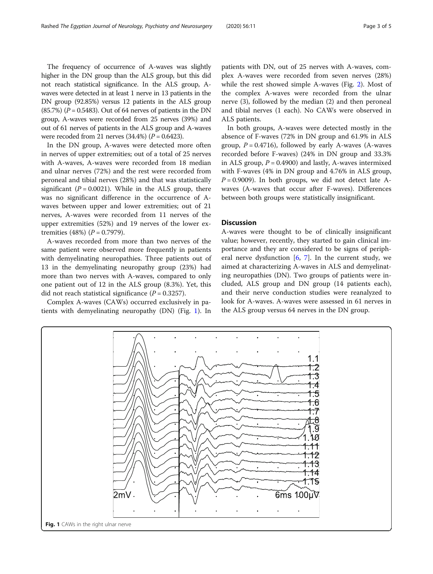The frequency of occurrence of A-waves was slightly higher in the DN group than the ALS group, but this did not reach statistical significance. In the ALS group, Awaves were detected in at least 1 nerve in 13 patients in the DN group (92.85%) versus 12 patients in the ALS group  $(85.7%)$   $(P = 0.5483)$ . Out of 64 nerves of patients in the DN group, A-waves were recorded from 25 nerves (39%) and out of 61 nerves of patients in the ALS group and A-waves were recoded from 21 nerves  $(34.4%) (P = 0.6423)$ .

In the DN group, A-waves were detected more often in nerves of upper extremities; out of a total of 25 nerves with A-waves, A-waves were recorded from 18 median and ulnar nerves (72%) and the rest were recorded from peroneal and tibial nerves (28%) and that was statistically significant ( $P = 0.0021$ ). While in the ALS group, there was no significant difference in the occurrence of Awaves between upper and lower extremities; out of 21 nerves, A-waves were recorded from 11 nerves of the upper extremities (52%) and 19 nerves of the lower extremities (48%)  $(P = 0.7979)$ .

A-waves recorded from more than two nerves of the same patient were observed more frequently in patients with demyelinating neuropathies. Three patients out of 13 in the demyelinating neuropathy group (23%) had more than two nerves with A-waves, compared to only one patient out of 12 in the ALS group (8.3%). Yet, this did not reach statistical significance  $(P = 0.3257)$ .

Complex A-waves (CAWs) occurred exclusively in patients with demyelinating neuropathy (DN) (Fig. 1). In

patients with DN, out of 25 nerves with A-waves, complex A-waves were recorded from seven nerves (28%) while the rest showed simple A-waves (Fig. [2](#page-3-0)). Most of the complex A-waves were recorded from the ulnar nerve (3), followed by the median (2) and then peroneal and tibial nerves (1 each). No CAWs were observed in ALS patients.

In both groups, A-waves were detected mostly in the absence of F-waves (72% in DN group and 61.9% in ALS group,  $P = 0.4716$ ), followed by early A-waves (A-waves recorded before F-waves) (24% in DN group and 33.3% in ALS group,  $P = 0.4900$ ) and lastly, A-waves intermixed with F-waves (4% in DN group and 4.76% in ALS group,  $P = 0.9009$ ). In both groups, we did not detect late Awaves (A-waves that occur after F-waves). Differences between both groups were statistically insignificant.

### **Discussion**

A-waves were thought to be of clinically insignificant value; however, recently, they started to gain clinical importance and they are considered to be signs of peripheral nerve dysfunction  $[6, 7]$  $[6, 7]$  $[6, 7]$  $[6, 7]$  $[6, 7]$ . In the current study, we aimed at characterizing A-waves in ALS and demyelinating neuropathies (DN). Two groups of patients were included, ALS group and DN group (14 patients each), and their nerve conduction studies were reanalyzed to look for A-waves. A-waves were assessed in 61 nerves in the ALS group versus 64 nerves in the DN group.

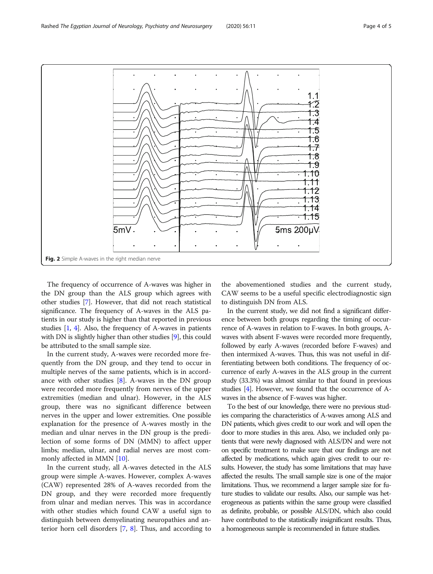The frequency of occurrence of A-waves was higher in the DN group than the ALS group which agrees with other studies [\[7\]](#page-4-0). However, that did not reach statistical significance. The frequency of A-waves in the ALS patients in our study is higher than that reported in previous studies [\[1,](#page-4-0) [4](#page-4-0)]. Also, the frequency of A-waves in patients with DN is slightly higher than other studies [[9\]](#page-4-0), this could be attributed to the small sample size.

In the current study, A-waves were recorded more frequently from the DN group, and they tend to occur in multiple nerves of the same patients, which is in accordance with other studies  $[8]$ . A-waves in the DN group were recorded more frequently from nerves of the upper extremities (median and ulnar). However, in the ALS group, there was no significant difference between nerves in the upper and lower extremities. One possible explanation for the presence of A-waves mostly in the median and ulnar nerves in the DN group is the predilection of some forms of DN (MMN) to affect upper limbs; median, ulnar, and radial nerves are most commonly affected in MMN [[10](#page-4-0)].

In the current study, all A-waves detected in the ALS group were simple A-waves. However, complex A-waves (CAW) represented 28% of A-waves recorded from the DN group, and they were recorded more frequently from ulnar and median nerves. This was in accordance with other studies which found CAW a useful sign to distinguish between demyelinating neuropathies and anterior horn cell disorders [\[7](#page-4-0), [8\]](#page-4-0). Thus, and according to the abovementioned studies and the current study, CAW seems to be a useful specific electrodiagnostic sign to distinguish DN from ALS.

In the current study, we did not find a significant difference between both groups regarding the timing of occurrence of A-waves in relation to F-waves. In both groups, Awaves with absent F-waves were recorded more frequently, followed by early A-waves (recorded before F-waves) and then intermixed A-waves. Thus, this was not useful in differentiating between both conditions. The frequency of occurrence of early A-waves in the ALS group in the current study (33.3%) was almost similar to that found in previous studies [\[4](#page-4-0)]. However, we found that the occurrence of Awaves in the absence of F-waves was higher.

To the best of our knowledge, there were no previous studies comparing the characteristics of A-waves among ALS and DN patients, which gives credit to our work and will open the door to more studies in this area. Also, we included only patients that were newly diagnosed with ALS/DN and were not on specific treatment to make sure that our findings are not affected by medications, which again gives credit to our results. However, the study has some limitations that may have affected the results. The small sample size is one of the major limitations. Thus, we recommend a larger sample size for future studies to validate our results. Also, our sample was heterogeneous as patients within the same group were classified as definite, probable, or possible ALS/DN, which also could have contributed to the statistically insignificant results. Thus, a homogeneous sample is recommended in future studies.

<span id="page-3-0"></span>